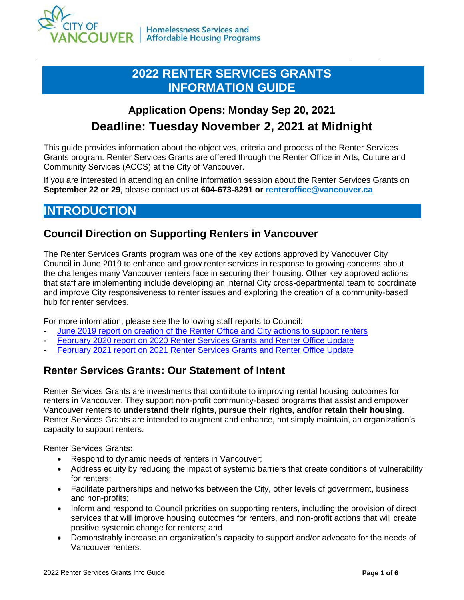

## **2022 RENTER SERVICES GRANTS INFORMATION GUIDE**

# **Application Opens: Monday Sep 20, 2021 Deadline: Tuesday November 2, 2021 at Midnight**

This guide provides information about the objectives, criteria and process of the Renter Services Grants program. Renter Services Grants are offered through the Renter Office in Arts, Culture and Community Services (ACCS) at the City of Vancouver.

If you are interested in attending an online information session about the Renter Services Grants on **September 22 or 29**, please contact us at **604-673-8291 or [renteroffice@vancouver.ca](mailto:renteroffice@vancouver.ca)**

### **INTRODUCTION**

#### **Council Direction on Supporting Renters in Vancouver**

The Renter Services Grants program was one of the key actions approved by Vancouver City Council in June 2019 to enhance and grow renter services in response to growing concerns about the challenges many Vancouver renters face in securing their housing. Other key approved actions that staff are implementing include developing an internal City cross-departmental team to coordinate and improve City responsiveness to renter issues and exploring the creation of a community-based hub for renter services.

For more information, please see the following staff reports to Council:

- [June 2019 report on creation of the Renter Office and City actions to support renters](https://council.vancouver.ca/20190611/documents/rr2.pdf)
- [February 2020 report on 2020 Renter Services Grants](https://council.vancouver.ca/20200226/documents/cfsc1.pdf) and Renter Office Update
- [February 2021 report on 2021 Renter Services Grants](https://council.vancouver.ca/20210309/documents/r4.pdf) and Renter Office Update

#### **Renter Services Grants: Our Statement of Intent**

Renter Services Grants are investments that contribute to improving rental housing outcomes for renters in Vancouver. They support non-profit community-based programs that assist and empower Vancouver renters to **understand their rights, pursue their rights, and/or retain their housing**. Renter Services Grants are intended to augment and enhance, not simply maintain, an organization's capacity to support renters.

Renter Services Grants:

- Respond to dynamic needs of renters in Vancouver;
- Address equity by reducing the impact of systemic barriers that create conditions of vulnerability for renters;
- Facilitate partnerships and networks between the City, other levels of government, business and non-profits;
- Inform and respond to Council priorities on supporting renters, including the provision of direct services that will improve housing outcomes for renters, and non-profit actions that will create positive systemic change for renters; and
- Demonstrably increase an organization's capacity to support and/or advocate for the needs of Vancouver renters.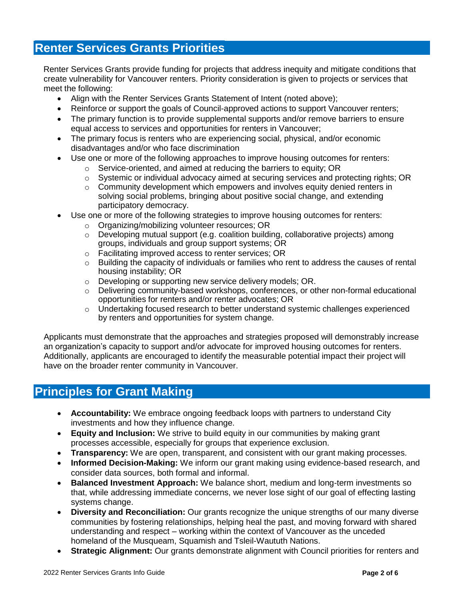#### **Renter Services Grants Priorities**

Renter Services Grants provide funding for projects that address inequity and mitigate conditions that create vulnerability for Vancouver renters. Priority consideration is given to projects or services that meet the following:

- Align with the Renter Services Grants Statement of Intent (noted above);
- Reinforce or support the goals of Council-approved actions to support Vancouver renters;
- The primary function is to provide supplemental supports and/or remove barriers to ensure equal access to services and opportunities for renters in Vancouver;
- The primary focus is renters who are experiencing social, physical, and/or economic disadvantages and/or who face discrimination
- Use one or more of the following approaches to improve housing outcomes for renters:
	- o Service-oriented, and aimed at reducing the barriers to equity; OR
	- o Systemic or individual advocacy aimed at securing services and protecting rights; OR
	- $\circ$  Community development which empowers and involves equity denied renters in solving social problems, bringing about positive social change, and extending participatory democracy.
- Use one or more of the following strategies to improve housing outcomes for renters:
	- o Organizing/mobilizing volunteer resources; OR
	- $\circ$  Developing mutual support (e.g. coalition building, collaborative projects) among groups, individuals and group support systems; OR
	- o Facilitating improved access to renter services; OR
	- o Building the capacity of individuals or families who rent to address the causes of rental housing instability; OR
	- o Developing or supporting new service delivery models; OR.
	- $\circ$  Delivering community-based workshops, conferences, or other non-formal educational opportunities for renters and/or renter advocates; OR
	- $\circ$  Undertaking focused research to better understand systemic challenges experienced by renters and opportunities for system change.

Applicants must demonstrate that the approaches and strategies proposed will demonstrably increase an organization's capacity to support and/or advocate for improved housing outcomes for renters. Additionally, applicants are encouraged to identify the measurable potential impact their project will have on the broader renter community in Vancouver.

### **Principles for Grant Making**

- **Accountability:** We embrace ongoing feedback loops with partners to understand City investments and how they influence change.
- **Equity and Inclusion:** We strive to build equity in our communities by making grant processes accessible, especially for groups that experience exclusion.
- **Transparency:** We are open, transparent, and consistent with our grant making processes.
- **Informed Decision-Making:** We inform our grant making using evidence-based research, and consider data sources, both formal and informal.
- **Balanced Investment Approach:** We balance short, medium and long-term investments so that, while addressing immediate concerns, we never lose sight of our goal of effecting lasting systems change.
- **Diversity and Reconciliation:** Our grants recognize the unique strengths of our many diverse communities by fostering relationships, helping heal the past, and moving forward with shared understanding and respect – working within the context of Vancouver as the unceded homeland of the Musqueam, Squamish and Tsleil-Waututh Nations.
- **Strategic Alignment:** Our grants demonstrate alignment with Council priorities for renters and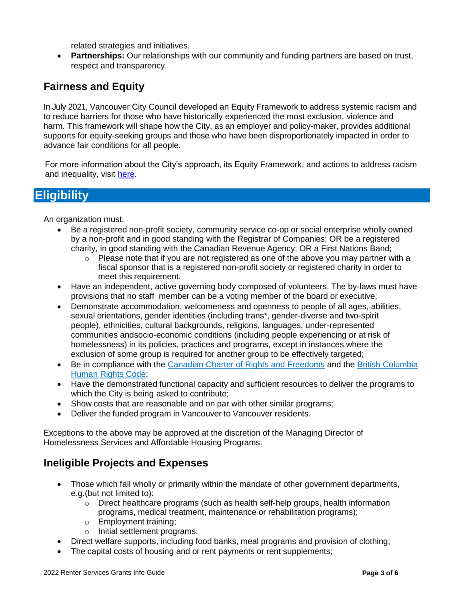related strategies and initiatives.

 **Partnerships:** Our relationships with our community and funding partners are based on trust, respect and transparency.

### **Fairness and Equity**

In July 2021, Vancouver City Council developed an Equity Framework to address systemic racism and to reduce barriers for those who have historically experienced the most exclusion, violence and harm. This framework will shape how the City, as an employer and policy-maker, provides additional supports for equity-seeking groups and those who have been disproportionately impacted in order to advance fair conditions for all people.

For more information about the City's approach, its Equity Framework, and actions to address racism and inequality, visit [here.](https://vancouver.ca/news-calendar/city-of-vancouver-responds-to-calls-from-community-with-new-equity-framework.aspx)

# **Eligibility**

An organization must:

- Be a registered non-profit society, community service co-op or social enterprise wholly owned by a non-profit and in good standing with the Registrar of Companies; OR be a registered charity, in good standing with the Canadian Revenue Agency; OR a First Nations Band;
	- o Please note that if you are not registered as one of the above you may partner with a fiscal sponsor that is a registered non-profit society or registered charity in order to meet this requirement.
- Have an independent, active governing body composed of volunteers. The by-laws must have provisions that no staff member can be a voting member of the board or executive;
- Demonstrate accommodation, welcomeness and openness to people of all ages, abilities, sexual orientations, gender identities (including trans\*, gender-diverse and two-spirit people), ethnicities, cultural backgrounds, religions, languages, under-represented communities andsocio-economic conditions (including people experiencing or at risk of homelessness) in its policies, practices and programs, except in instances where the exclusion of some group is required for another group to be effectively targeted;
- Be in compliance with the [Canadian Charter of Rights and Freedoms](https://laws-lois.justice.gc.ca/eng/const/page-12.html) and the [British Columbia](https://www.bclaws.ca/Recon/document/ID/freeside/00_96210_01) [Human](https://www.bclaws.ca/Recon/document/ID/freeside/00_96210_01) Rights Code;
- Have the demonstrated functional capacity and sufficient resources to deliver the programs to which the City is being asked to contribute;
- Show costs that are reasonable and on par with other similar programs;
- Deliver the funded program in Vancouver to Vancouver residents.

Exceptions to the above may be approved at the discretion of the Managing Director of Homelessness Services and Affordable Housing Programs.

#### **Ineligible Projects and Expenses**

- Those which fall wholly or primarily within the mandate of other government departments, e.g.(but not limited to):
	- $\circ$  Direct healthcare programs (such as health self-help groups, health information programs, medical treatment, maintenance or rehabilitation programs);
	- o Employment training;
	- o Initial settlement programs.
- Direct welfare supports, including food banks, meal programs and provision of clothing;
- The capital costs of housing and or rent payments or rent supplements;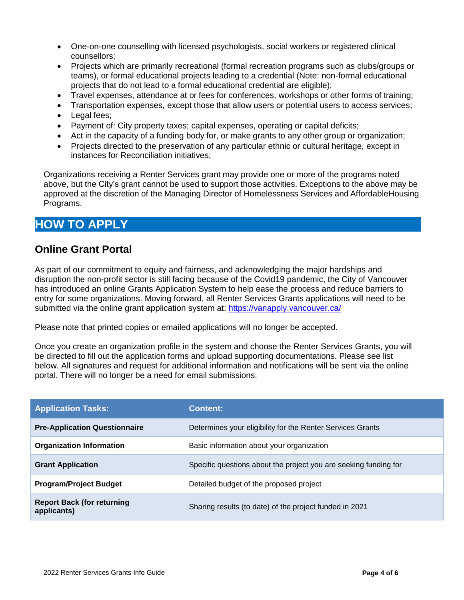- One-on-one counselling with licensed psychologists, social workers or registered clinical counsellors;
- Projects which are primarily recreational (formal recreation programs such as clubs/groups or teams), or formal educational projects leading to a credential (Note: non-formal educational projects that do not lead to a formal educational credential are eligible);
- Travel expenses, attendance at or fees for conferences, workshops or other forms of training;
- Transportation expenses, except those that allow users or potential users to access services;
- Legal fees;
- Payment of: City property taxes; capital expenses, operating or capital deficits;
- Act in the capacity of a funding body for, or make grants to any other group or organization;
- Projects directed to the preservation of any particular ethnic or cultural heritage, except in instances for Reconciliation initiatives;

Organizations receiving a Renter Services grant may provide one or more of the programs noted above, but the City's grant cannot be used to support those activities. Exceptions to the above may be approved at the discretion of the Managing Director of Homelessness Services and AffordableHousing Programs.

### **HOW TO APPLY**

#### **Online Grant Portal**

As part of our commitment to equity and fairness, and acknowledging the major hardships and disruption the non-profit sector is still facing because of the Covid19 pandemic, the City of Vancouver has introduced an online Grants Application System to help ease the process and reduce barriers to entry for some organizations. Moving forward, all Renter Services Grants applications will need to be submitted via the online grant application system at:<https://vanapply.vancouver.ca/>

Please note that printed copies or emailed applications will no longer be accepted.

Once you create an organization profile in the system and choose the Renter Services Grants, you will be directed to fill out the application forms and upload supporting documentations. Please see list below. All signatures and request for additional information and notifications will be sent via the online portal. There will no longer be a need for email submissions.

| <b>Application Tasks:</b>                        | <b>Content:</b>                                                  |
|--------------------------------------------------|------------------------------------------------------------------|
| <b>Pre-Application Questionnaire</b>             | Determines your eligibility for the Renter Services Grants       |
| <b>Organization Information</b>                  | Basic information about your organization                        |
| <b>Grant Application</b>                         | Specific questions about the project you are seeking funding for |
| <b>Program/Project Budget</b>                    | Detailed budget of the proposed project                          |
| <b>Report Back (for returning</b><br>applicants) | Sharing results (to date) of the project funded in 2021          |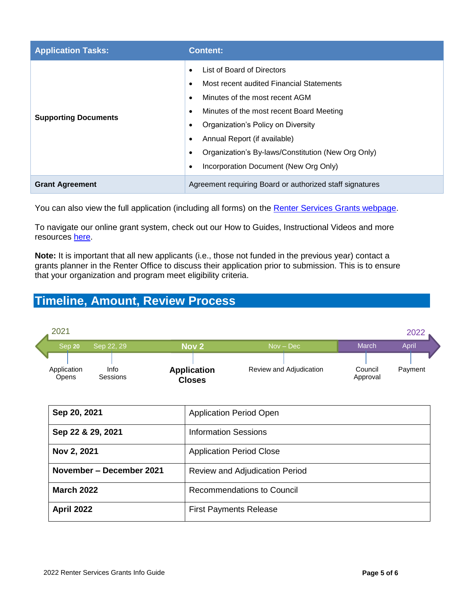| <b>Application Tasks:</b>   | <b>Content:</b>                                                                                                                                                                                                                                                                                                                                                                           |  |
|-----------------------------|-------------------------------------------------------------------------------------------------------------------------------------------------------------------------------------------------------------------------------------------------------------------------------------------------------------------------------------------------------------------------------------------|--|
| <b>Supporting Documents</b> | List of Board of Directors<br>$\bullet$<br>Most recent audited Financial Statements<br>٠<br>Minutes of the most recent AGM<br>٠<br>Minutes of the most recent Board Meeting<br>$\bullet$<br>Organization's Policy on Diversity<br>٠<br>Annual Report (if available)<br>٠<br>Organization's By-laws/Constitution (New Org Only)<br>$\bullet$<br>Incorporation Document (New Org Only)<br>٠ |  |
| <b>Grant Agreement</b>      | Agreement requiring Board or authorized staff signatures                                                                                                                                                                                                                                                                                                                                  |  |

You can also view the full application (including all forms) on the [Renter Services Grants webpage.](https://vancouver.ca/people-programs/renter-services-grants.aspx)

To navigate our online grant system, check out our How to Guides, Instructional Videos and more resources [here.](https://vancouver.ca/people-programs/vanapply-online-grant-application-system.aspx)

**Note:** It is important that all new applicants (i.e., those not funded in the previous year) contact a grants planner in the Renter Office to discuss their application prior to submission. This is to ensure that your organization and program meet eligibility criteria.

# **Timeline, Amount, Review Process**

| 2021                 |                  |                                     |                         |                     | 2022    |
|----------------------|------------------|-------------------------------------|-------------------------|---------------------|---------|
| Sep 20               | Sep 22, 29       | Nov <sub>2</sub>                    | $Nov - Dec$             | March               | April   |
|                      |                  |                                     |                         |                     |         |
| Application<br>Opens | Info<br>Sessions | <b>Application</b><br><b>Closes</b> | Review and Adjudication | Council<br>Approval | Payment |

| Sep 20, 2021             | <b>Application Period Open</b>    |
|--------------------------|-----------------------------------|
| Sep 22 & 29, 2021        | <b>Information Sessions</b>       |
| Nov 2, 2021              | <b>Application Period Close</b>   |
| November – December 2021 | Review and Adjudication Period    |
| <b>March 2022</b>        | <b>Recommendations to Council</b> |
| <b>April 2022</b>        | <b>First Payments Release</b>     |